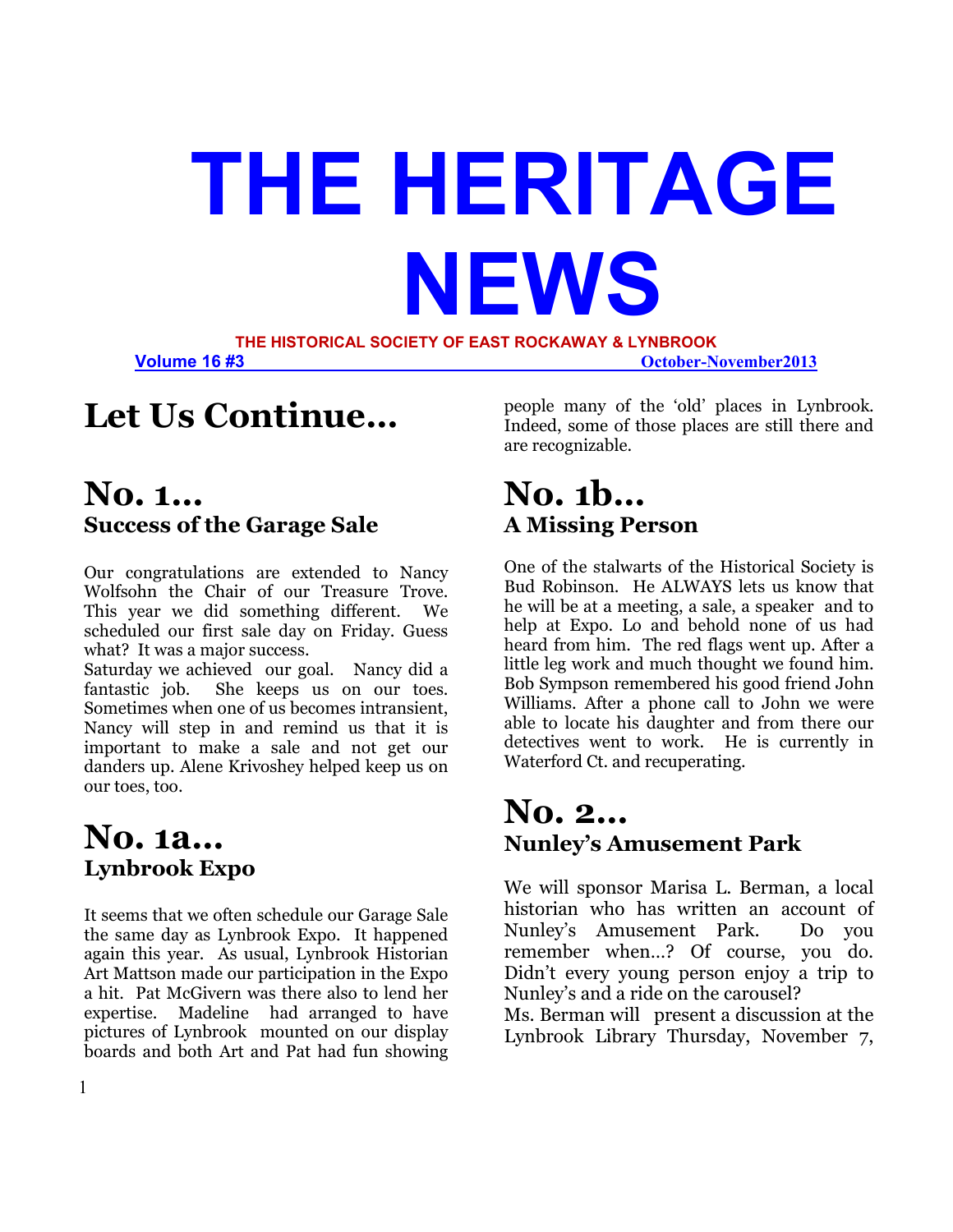# **THE HERITAGE NEWS THE HISTORICAL SOCIETY OF EAST ROCKAWAY & LYNBROOK**

**Volume 16 #3** *October-November2013* 

# **Let Us Continue…**

### **No. 1… Success of the Garage Sale**

Our congratulations are extended to Nancy Wolfsohn the Chair of our Treasure Trove. This year we did something different. We scheduled our first sale day on Friday. Guess what? It was a major success.

Saturday we achieved our goal. Nancy did a fantastic job. She keeps us on our toes. Sometimes when one of us becomes intransient, Nancy will step in and remind us that it is important to make a sale and not get our danders up. Alene Krivoshey helped keep us on our toes, too.

# **No. 1a… Lynbrook Expo**

It seems that we often schedule our Garage Sale the same day as Lynbrook Expo. It happened again this year. As usual, Lynbrook Historian Art Mattson made our participation in the Expo a hit. Pat McGivern was there also to lend her expertise. Madeline had arranged to have pictures of Lynbrook mounted on our display boards and both Art and Pat had fun showing

people many of the 'old' places in Lynbrook. Indeed, some of those places are still there and are recognizable.

## **No. 1b… A Missing Person**

One of the stalwarts of the Historical Society is Bud Robinson. He ALWAYS lets us know that he will be at a meeting, a sale, a speaker and to help at Expo. Lo and behold none of us had heard from him. The red flags went up. After a little leg work and much thought we found him. Bob Sympson remembered his good friend John Williams. After a phone call to John we were able to locate his daughter and from there our detectives went to work. He is currently in Waterford Ct. and recuperating.

## **No. 2… Nunley's Amusement Park**

We will sponsor Marisa L. Berman, a local historian who has written an account of Nunley's Amusement Park. Do you remember when…? Of course, you do. Didn't every young person enjoy a trip to Nunley's and a ride on the carousel?

Ms. Berman will present a discussion at the Lynbrook Library Thursday, November 7,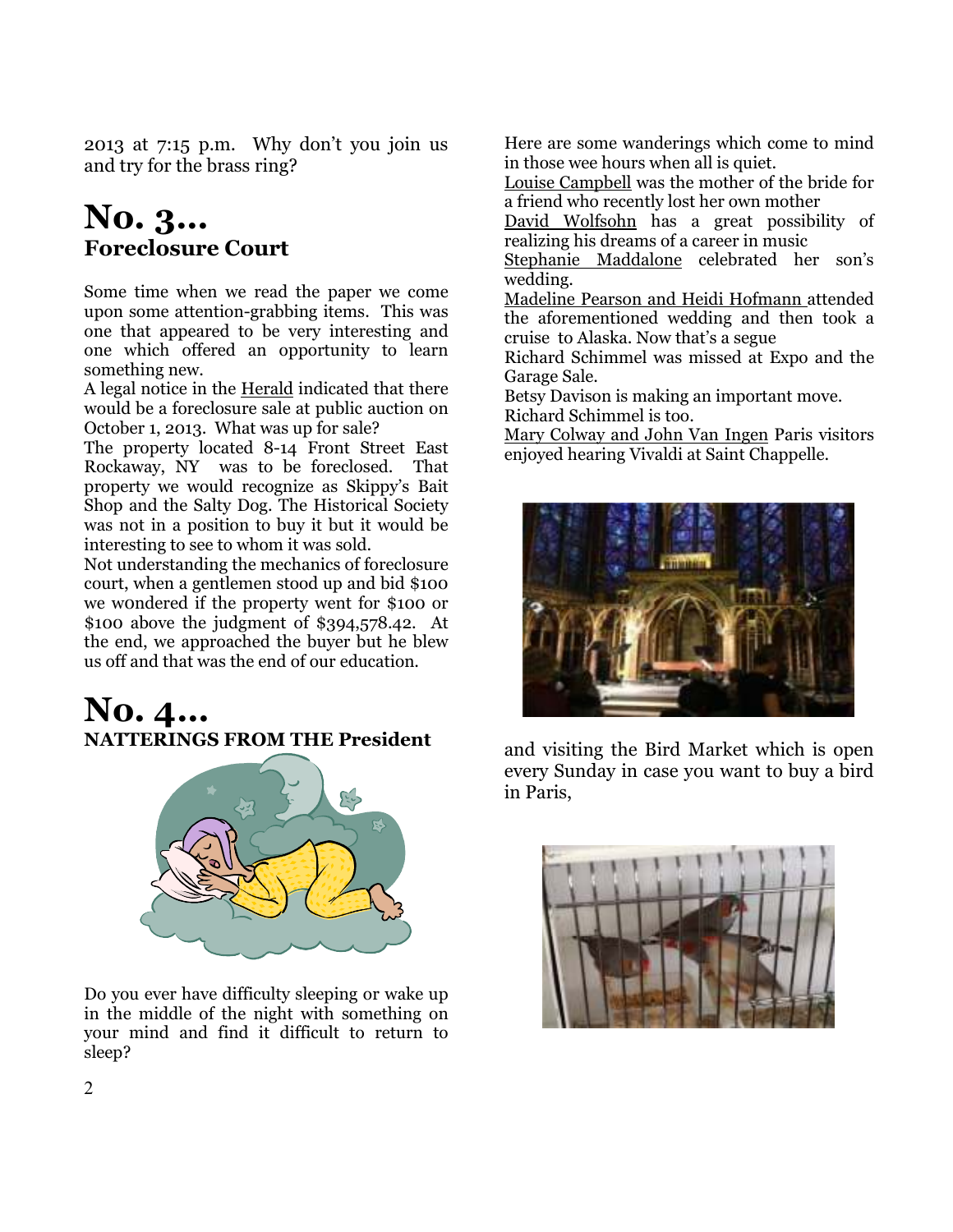2013 at 7:15 p.m. Why don't you join us and try for the brass ring?

### **No. 3… Foreclosure Court**

Some time when we read the paper we come upon some attention-grabbing items. This was one that appeared to be very interesting and one which offered an opportunity to learn something new.

A legal notice in the Herald indicated that there would be a foreclosure sale at public auction on October 1, 2013. What was up for sale?

The property located 8-14 Front Street East Rockaway, NY was to be foreclosed. That property we would recognize as Skippy's Bait Shop and the Salty Dog. The Historical Society was not in a position to buy it but it would be interesting to see to whom it was sold.

Not understanding the mechanics of foreclosure court, when a gentlemen stood up and bid \$100 we w0ndered if the property went for \$100 or \$100 above the judgment of \$394,578.42. At the end, we approached the buyer but he blew us off and that was the end of our education.

### **No. 4… NATTERINGS FROM THE President**



Do you ever have difficulty sleeping or wake up in the middle of the night with something on your mind and find it difficult to return to sleep?

Here are some wanderings which come to mind in those wee hours when all is quiet.

Louise Campbell was the mother of the bride for a friend who recently lost her own mother

David Wolfsohn has a great possibility of realizing his dreams of a career in music

Stephanie Maddalone celebrated her son's wedding.

Madeline Pearson and Heidi Hofmann attended the aforementioned wedding and then took a cruise to Alaska. Now that's a segue

Richard Schimmel was missed at Expo and the Garage Sale.

Betsy Davison is making an important move. Richard Schimmel is too.

Mary Colway and John Van Ingen Paris visitors enjoyed hearing Vivaldi at Saint Chappelle.



and visiting the Bird Market which is open every Sunday in case you want to buy a bird in Paris,

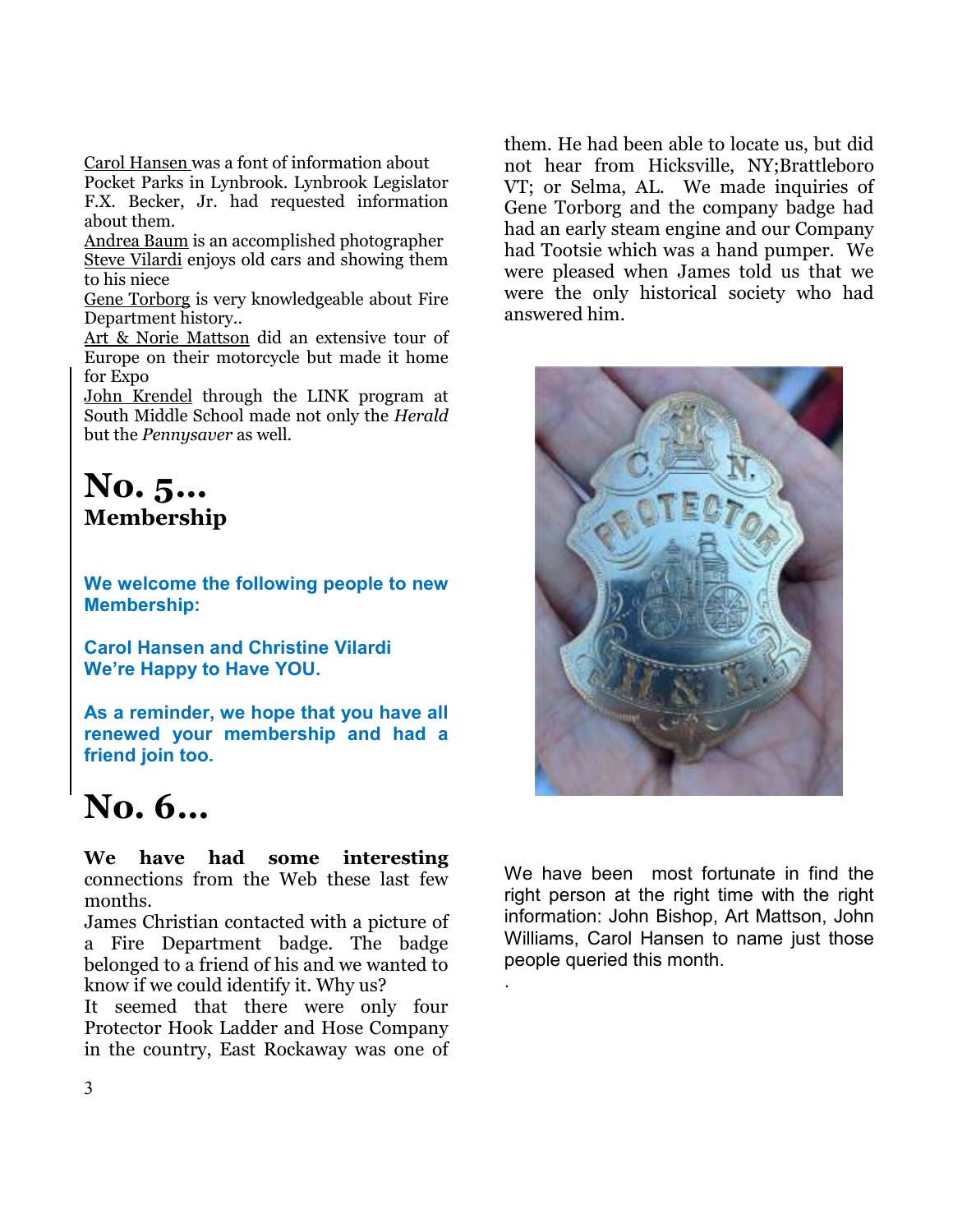Carol Hansen was a font of information about Pocket Parks in Lynbrook. Lynbrook Legislator F.X. Becker, Jr. had requested information about them.

Andrea Baum is an accomplished photographer Steve Vilardi enjoys old cars and showing them to his niece

Gene Torborg is very knowledgeable about Fire Department history..

Art & Norie Mattson did an extensive tour of Europe on their motorcycle but made it home for Expo

John Krendel through the LINK program at South Middle School made not only the *Herald* but the *Pennysaver* as well.

### **No. 5… Membership**

**We welcome the following people to new Membership:** 

**Carol Hansen and Christine Vilardi We're Happy to Have YOU.** 

**As a reminder, we hope that you have all renewed your membership and had a friend join too.** 

# **No. 6…**

**We have had some interesting**  connections from the Web these last few months.

James Christian contacted with a picture of a Fire Department badge. The badge belonged to a friend of his and we wanted to know if we could identify it. Why us?

It seemed that there were only four Protector Hook Ladder and Hose Company in the country, East Rockaway was one of them. He had been able to locate us, but did not hear from Hicksville, NY;Brattleboro VT; or Selma, AL. We made inquiries of Gene Torborg and the company badge had had an early steam engine and our Company had Tootsie which was a hand pumper. We were pleased when James told us that we were the only historical society who had answered him.



We have been most fortunate in find the right person at the right time with the right information: John Bishop, Art Mattson, John Williams, Carol Hansen to name just those people queried this month.

.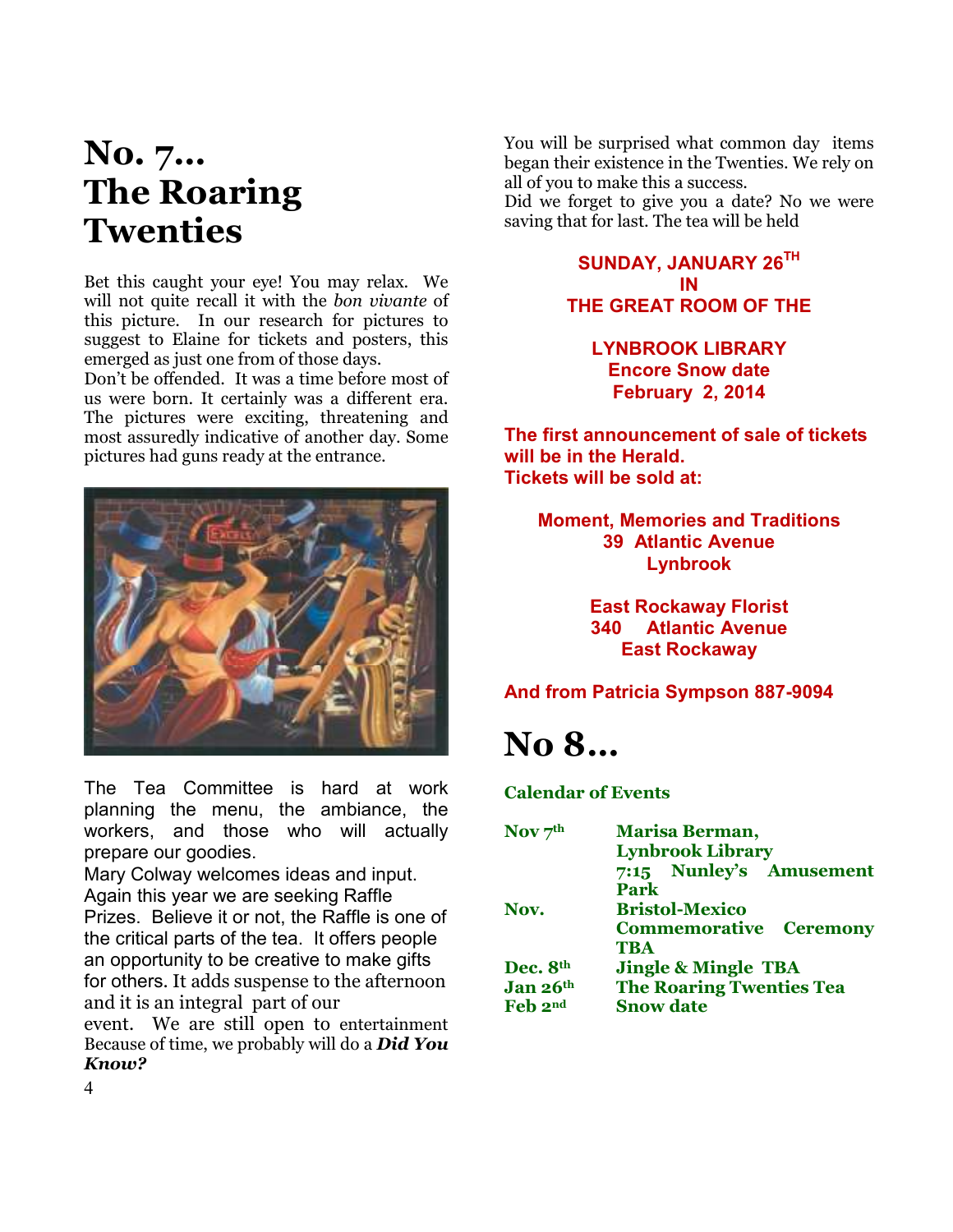# **No. 7… The Roaring Twenties**

Bet this caught your eye! You may relax. We will not quite recall it with the *bon vivante* of this picture. In our research for pictures to suggest to Elaine for tickets and posters, this emerged as just one from of those days.

Don't be offended. It was a time before most of us were born. It certainly was a different era. The pictures were exciting, threatening and most assuredly indicative of another day. Some pictures had guns ready at the entrance.



The Tea Committee is hard at work planning the menu, the ambiance, the workers, and those who will actually prepare our goodies.

Mary Colway welcomes ideas and input. Again this year we are seeking Raffle Prizes. Believe it or not, the Raffle is one of the critical parts of the tea. It offers people an opportunity to be creative to make gifts for others. It adds suspense to the afternoon and it is an integral part of our

event. We are still open to entertainment Because of time, we probably will do a *Did You Know?*

You will be surprised what common day items began their existence in the Twenties. We rely on all of you to make this a success.

Did we forget to give you a date? No we were saving that for last. The tea will be held

#### **SUNDAY, JANUARY 26TH IN THE GREAT ROOM OF THE**

#### **LYNBROOK LIBRARY Encore Snow date February 2, 2014**

**The first announcement of sale of tickets will be in the Herald. Tickets will be sold at:** 

**Moment, Memories and Traditions 39 Atlantic Avenue Lynbrook** 

> **East Rockaway Florist 340 Atlantic Avenue East Rockaway**

#### **And from Patricia Sympson 887-9094**

# **No 8…**

**Calendar of Events** 

| Nov $7th$ | <b>Marisa Berman,</b>           |
|-----------|---------------------------------|
|           | <b>Lynbrook Library</b>         |
|           | 7:15 Nunley's Amusement         |
|           | Park                            |
| Nov.      | <b>Bristol-Mexico</b>           |
|           | <b>Commemorative Ceremony</b>   |
|           | <b>TBA</b>                      |
| Dec. 8th  | <b>Jingle &amp; Mingle TBA</b>  |
| Jan 26th  | <b>The Roaring Twenties Tea</b> |
| Feb 2nd   | <b>Snow date</b>                |
|           |                                 |

4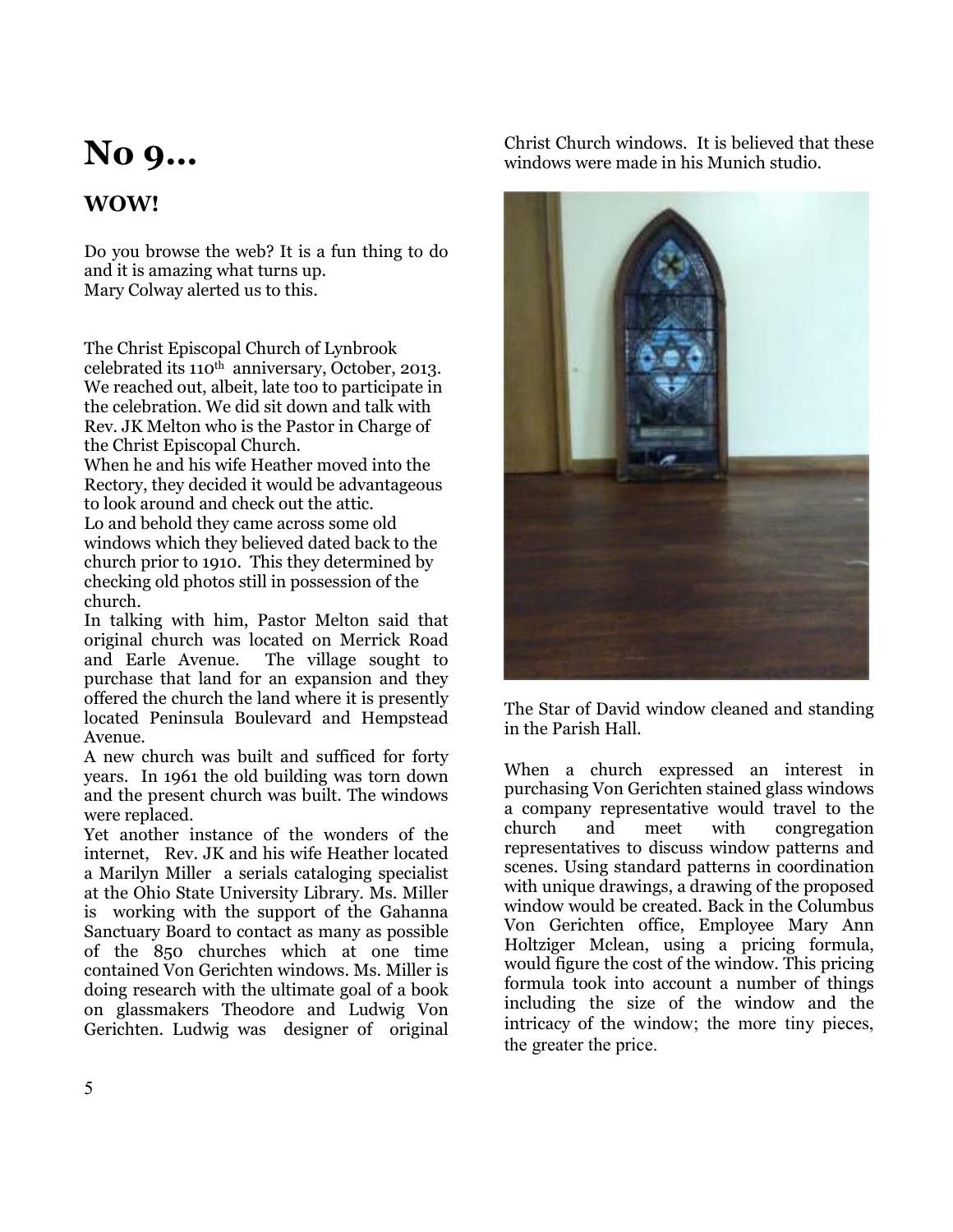# **No 9…**

### **WOW!**

Do you browse the web? It is a fun thing to do and it is amazing what turns up. Mary Colway alerted us to this.

The Christ Episcopal Church of Lynbrook celebrated its 110<sup>th</sup> anniversary, October, 2013. We reached out, albeit, late too to participate in the celebration. We did sit down and talk with Rev. JK Melton who is the Pastor in Charge of the Christ Episcopal Church.

When he and his wife Heather moved into the Rectory, they decided it would be advantageous to look around and check out the attic.

Lo and behold they came across some old windows which they believed dated back to the church prior to 1910. This they determined by checking old photos still in possession of the church.

In talking with him, Pastor Melton said that original church was located on Merrick Road The village sought to purchase that land for an expansion and they offered the church the land where it is presently located Peninsula Boulevard and Hempstead Avenue.

A new church was built and sufficed for forty years. In 1961 the old building was torn down and the present church was built. The windows were replaced.

Yet another instance of the wonders of the internet, Rev. JK and his wife Heather located a Marilyn Miller a serials cataloging specialist at the Ohio State University Library. Ms. Miller is working with the support of the Gahanna Sanctuary Board to contact as many as possible of the 850 churches which at one time contained Von Gerichten windows. Ms. Miller is doing research with the ultimate goal of a book on glassmakers Theodore and Ludwig Von Gerichten. Ludwig was designer of original

Christ Church windows. It is believed that these windows were made in his Munich studio.



The Star of David window cleaned and standing in the Parish Hall.

When a church expressed an interest in purchasing Von Gerichten stained glass windows a company representative would travel to the church and meet with congregation representatives to discuss window patterns and scenes. Using standard patterns in coordination with unique drawings, a drawing of the proposed window would be created. Back in the Columbus Von Gerichten office, Employee Mary Ann Holtziger Mclean, using a pricing formula, would figure the cost of the window. This pricing formula took into account a number of things including the size of the window and the intricacy of the window; the more tiny pieces, the greater the price.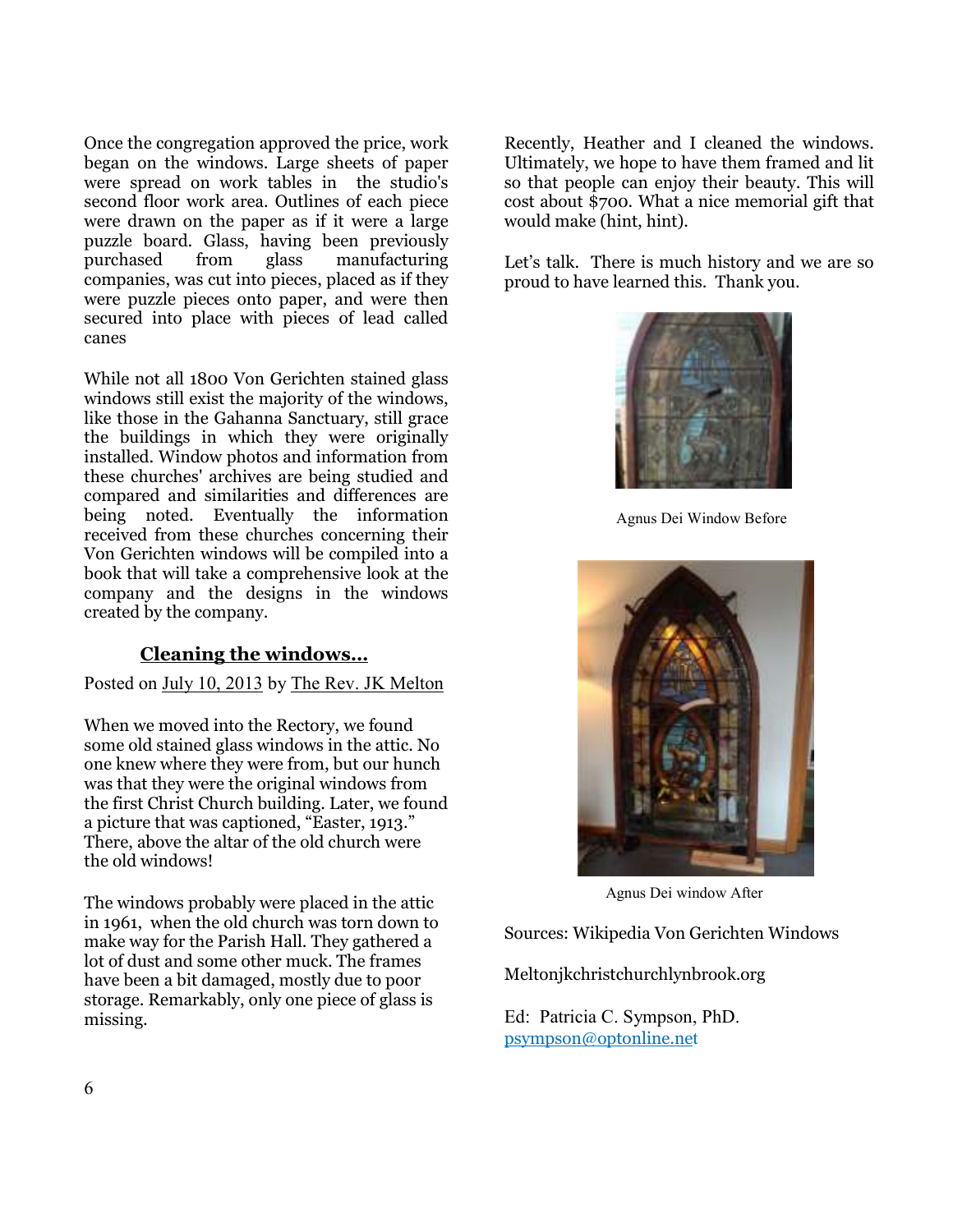Once the congregation approved the price, work began on the windows. Large sheets of paper were spread on work tables in the studio's second floor work area. Outlines of each piece were drawn on the paper as if it were a large puzzle board. Glass, having been previously purchased from glass manufacturing companies, was cut into pieces, placed as if they were puzzle pieces onto paper, and were then secured into place with pieces of lead called canes

While not all 1800 Von Gerichten stained glass windows still exist the majority of the windows, like those in the Gahanna Sanctuary, still grace the buildings in which they were originally installed. Window photos and information from these churches' archives are being studied and compared and similarities and differences are being noted. Eventually the information received from these churches concerning their Von Gerichten windows will be compiled into a book that will take a comprehensive look at the company and the designs in the windows created by the company.

#### **Cleaning the windows…**

#### Posted on July 10, 2013 by The Rev. JK Melton

When we moved into the Rectory, we found some old stained glass windows in the attic. No one knew where they were from, but our hunch was that they were the original windows from the first Christ Church building. Later, we found a picture that was captioned, "Easter, 1913." There, above the altar of the old church were the old windows!

The windows probably were placed in the attic in 1961, when the old church was torn down to make way for the Parish Hall. They gathered a lot of dust and some other muck. The frames have been a bit damaged, mostly due to poor storage. Remarkably, only one piece of glass is missing.

Recently, Heather and I cleaned the windows. Ultimately, we hope to have them framed and lit so that people can enjoy their beauty. This will cost about \$700. What a nice memorial gift that would make (hint, hint).

Let's talk. There is much history and we are so proud to have learned this. Thank you.



Agnus Dei Window Before



Agnus Dei window After

Sources: Wikipedia Von Gerichten Windows

Meltonjkchristchurchlynbrook.org

Ed: Patricia C. Sympson, PhD. psympson@optonline.net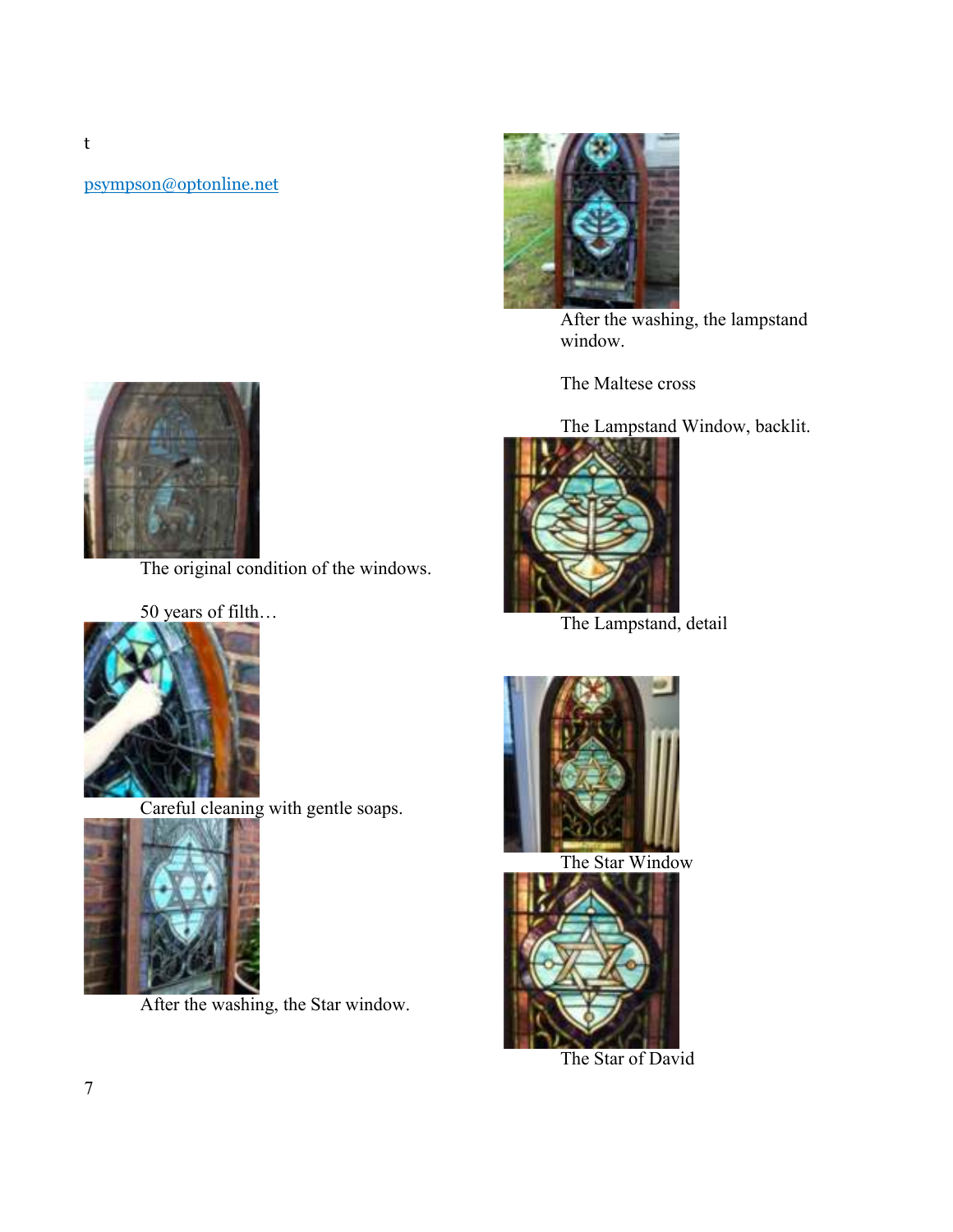psympson@optonline.net



The original condition of the windows.





Careful cleaning with gentle soaps.



After the washing, the Star window.



After the washing, the lampstand window.

The Maltese cross

The Lampstand Window, backlit.



The Lampstand, detail



The Star Window



The Star of David